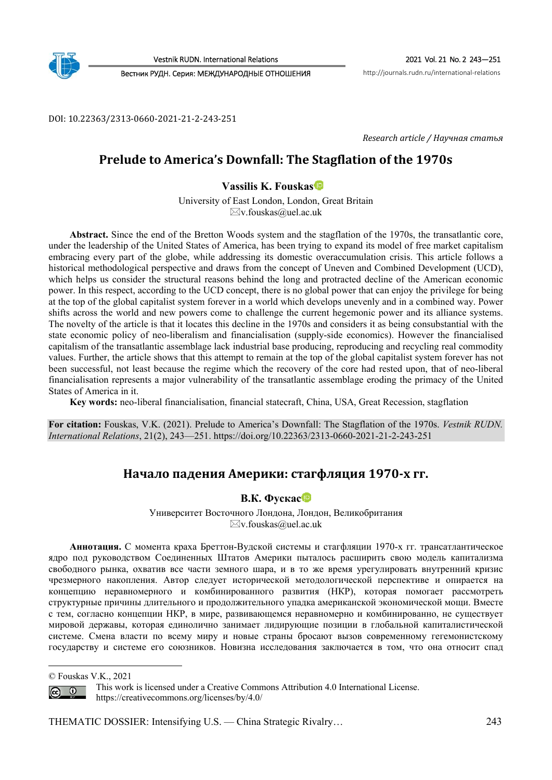

Vestnik RUDN. International Relations 2021 Vol. 21 No. 2 243—251

Вестник РУДН. Серия: МЕЖДУНАРОДНЫЕ ОТНОШЕНИЯ http://journals.rudn.ru/international-relations

DOI: 10.22363/2313-0660-2021-21-2-243-251

*Research article / Научная статья* 

# **Prelude to America's Downfall: The Stagflation of the 1970s**

**Vassilis K. Fouska[s](https://orcid.org/0000-0003-3128-6411)** *<sup>1</sup>*

University of East London, London, Great Britain  $\boxtimes$ v.fouskas@uel.ac.uk

**Abstract.** Since the end of the Bretton Woods system and the stagflation of the 1970s, the transatlantic core, under the leadership of the United States of America, has been trying to expand its model of free market capitalism embracing every part of the globe, while addressing its domestic overaccumulation crisis. This article follows a historical methodological perspective and draws from the concept of Uneven and Combined Development (UCD), which helps us consider the structural reasons behind the long and protracted decline of the American economic power. In this respect, according to the UCD concept, there is no global power that can enjoy the privilege for being at the top of the global capitalist system forever in a world which develops unevenly and in a combined way. Power shifts across the world and new powers come to challenge the current hegemonic power and its alliance systems. The novelty of the article is that it locates this decline in the 1970s and considers it as being consubstantial with the state economic policy of neo-liberalism and financialisation (supply-side economics). However the financialised capitalism of the transatlantic assemblage lack industrial base producing, reproducing and recycling real commodity values. Further, the article shows that this attempt to remain at the top of the global capitalist system forever has not been successful, not least because the regime which the recovery of the core had rested upon, that of neo-liberal financialisation represents a major vulnerability of the transatlantic assemblage eroding the primacy of the United States of America in it.

**Key words:** neo-liberal financialisation, financial statecraft, China, USA, Great Recession, stagflation

**For citation:** Fouskas, V.K. (2021). Prelude to America's Downfall: The Stagflation of the 1970s. *Vestnik RUDN. International Relations*, 21(2), 243—251. https://doi.org/10.22363/2313-0660-2021-21-2-243-251

# **Начало падения Америки: стагфляция 1970‐х гг.**

#### **В.К. Фуска[с](https://orcid.org/0000-0003-3128-6411)**

Университет Восточного Лондона, Лондон, Великобритания  $\boxtimes$ v.fouskas@uel.ac.uk

**Аннотация.** С момента краха Бреттон-Вудской системы и стагфляции 1970-х гг. трансатлантическое ядро под руководством Соединенных Штатов Америки пыталось расширить свою модель капитализма свободного рынка, охватив все части земного шара, и в то же время урегулировать внутренний кризис чрезмерного накопления. Автор следует исторической методологической перспективе и опирается на концепцию неравномерного и комбинированного развития (НКР), которая помогает рассмотреть структурные причины длительного и продолжительного упадка американской экономической мощи. Вместе с тем, согласно концепции НКР, в мире, развивающемся неравномерно и комбинированно, не существует мировой державы, которая единолично занимает лидирующие позиции в глобальной капиталистической системе. Смена власти по всему миру и новые страны бросают вызов современному гегемонистскому государству и системе его союзников. Новизна исследования заключается в том, что она относит спад



This work is licensed under a Creative Commons Attribution 4.0 International License. https://creativecommons.org/licenses/by/4.0/

THEMATIC DOSSIER: Intensifying U.S. — China Strategic Rivalry… 243

<sup>©</sup> Fouskas V.K., 2021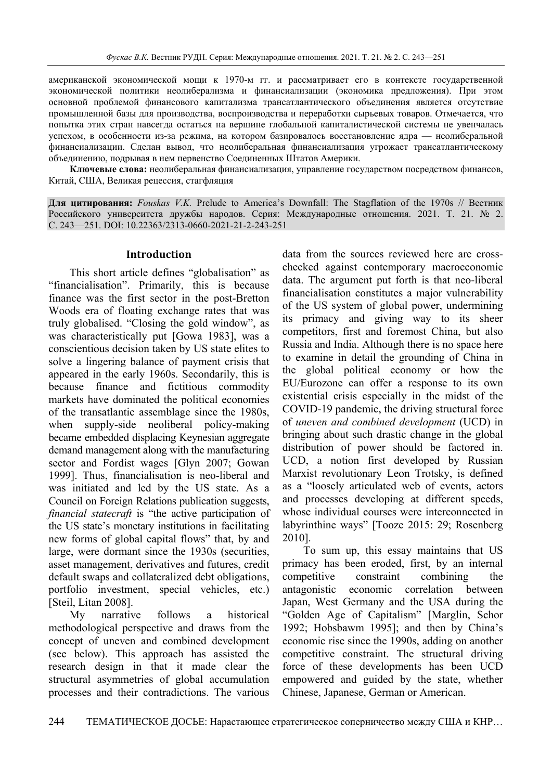американской экономической мощи к 1970-м гг. и рассматривает его в контексте государственной экономической политики неолиберализма и финансиализации (экономика предложения). При этом основной проблемой финансового капитализма трансатлантического объединения является отсутствие промышленной базы для производства, воспроизводства и переработки сырьевых товаров. Отмечается, что попытка этих стран навсегда остаться на вершине глобальной капиталистической системы не увенчалась успехом, в особенности из-за режима, на котором базировалось восстановление ядра — неолиберальной финансиализации. Сделан вывод, что неолиберальная финансиализация угрожает трансатлантическому объединению, подрывая в нем первенство Соединенных Штатов Америки.

**Ключевые слова:** неолиберальная финансиализация, управление государством посредством финансов, Китай, США, Великая рецессия, стагфляция

**Для цитирования:** *Fouskas V.K.* Prelude to America's Downfall: The Stagflation of the 1970s // Вестник Российского университета дружбы народов. Серия: Международные отношения. 2021. Т. 21. № 2. С. 243—251. DOI: 10.22363/2313-0660-2021-21-2-243-251

#### **Introduction**

This short article defines "globalisation" as "financialisation". Primarily, this is because finance was the first sector in the post-Bretton Woods era of floating exchange rates that was truly globalised. "Closing the gold window", as was characteristically put [Gowa 1983], was a conscientious decision taken by US state elites to solve a lingering balance of payment crisis that appeared in the early 1960s. Secondarily, this is because finance and fictitious commodity markets have dominated the political economies of the transatlantic assemblage since the 1980s, when supply-side neoliberal policy-making became embedded displacing Keynesian aggregate demand management along with the manufacturing sector and Fordist wages [Glyn 2007; Gowan 1999]. Thus, financialisation is neo-liberal and was initiated and led by the US state. As a Council on Foreign Relations publication suggests, *financial statecraft* is "the active participation of the US state's monetary institutions in facilitating new forms of global capital flows" that, by and large, were dormant since the 1930s (securities, asset management, derivatives and futures, credit default swaps and collateralized debt obligations, portfolio investment, special vehicles, etc.) [Steil, Litan 2008].

My narrative follows a historical methodological perspective and draws from the concept of uneven and combined development (see below). This approach has assisted the research design in that it made clear the structural asymmetries of global accumulation processes and their contradictions. The various

data from the sources reviewed here are crosschecked against contemporary macroeconomic data. The argument put forth is that neo-liberal financialisation constitutes a major vulnerability of the US system of global power, undermining its primacy and giving way to its sheer competitors, first and foremost China, but also Russia and India. Although there is no space here to examine in detail the grounding of China in the global political economy or how the EU/Eurozone can offer a response to its own existential crisis especially in the midst of the COVID-19 pandemic, the driving structural force of *uneven and combined development* (UCD) in bringing about such drastic change in the global distribution of power should be factored in. UCD, a notion first developed by Russian Marxist revolutionary Leon Trotsky, is defined as a "loosely articulated web of events, actors and processes developing at different speeds, whose individual courses were interconnected in labyrinthine ways" [Tooze 2015: 29; Rosenberg 2010].

To sum up, this essay maintains that US primacy has been eroded, first, by an internal competitive constraint combining the antagonistic economic correlation between Japan, West Germany and the USA during the "Golden Age of Capitalism" [Marglin, Schor 1992; Hobsbawm 1995]; and then by China's economic rise since the 1990s, adding on another competitive constraint. The structural driving force of these developments has been UCD empowered and guided by the state, whether Chinese, Japanese, German or American.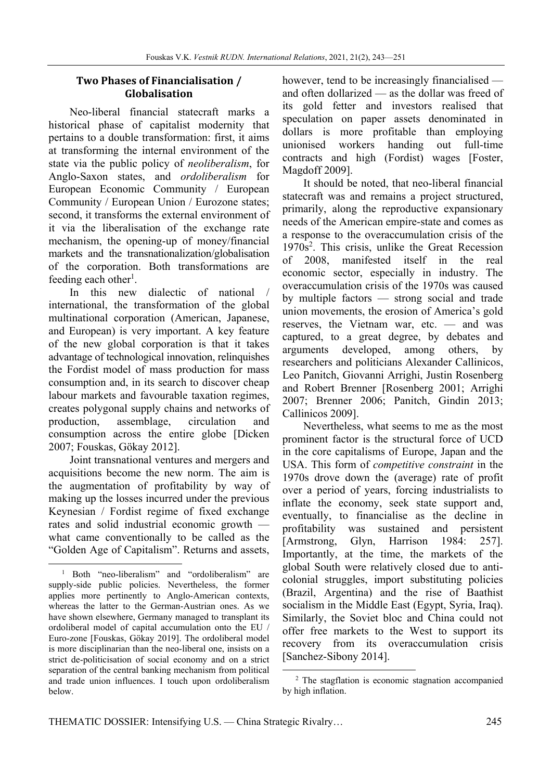### **Two Phases of Financialisation / Globalisation**

Neo-liberal financial statecraft marks a historical phase of capitalist modernity that pertains to a double transformation: first, it aims at transforming the internal environment of the state via the public policy of *neoliberalism*, for Anglo-Saxon states, and *ordoliberalism* for European Economic Community / European Community / European Union / Eurozone states; second, it transforms the external environment of it via the liberalisation of the exchange rate mechanism, the opening-up of money/financial markets and the transnationalization/globalisation of the corporation. Both transformations are feeding each other<sup>1</sup>.

In this new dialectic of national / international, the transformation of the global multinational corporation (American, Japanese, and European) is very important. A key feature of the new global corporation is that it takes advantage of technological innovation, relinquishes the Fordist model of mass production for mass consumption and, in its search to discover cheap labour markets and favourable taxation regimes, creates polygonal supply chains and networks of production, assemblage, circulation and consumption across the entire globe [Dicken 2007; Fouskas, Gökay 2012].

Joint transnational ventures and mergers and acquisitions become the new norm. The aim is the augmentation of profitability by way of making up the losses incurred under the previous Keynesian / Fordist regime of fixed exchange rates and solid industrial economic growth what came conventionally to be called as the "Golden Age of Capitalism". Returns and assets,

however, tend to be increasingly financialised and often dollarized — as the dollar was freed of its gold fetter and investors realised that speculation on paper assets denominated in dollars is more profitable than employing unionised workers handing out full-time contracts and high (Fordist) wages [Foster, Magdoff 2009].

It should be noted, that neo-liberal financial statecraft was and remains a project structured, primarily, along the reproductive expansionary needs of the American empire-state and comes as a response to the overaccumulation crisis of the 1970s<sup>2</sup>. This crisis, unlike the Great Recession of 2008, manifested itself in the real economic sector, especially in industry. The overaccumulation crisis of the 1970s was caused by multiple factors — strong social and trade union movements, the erosion of America's gold reserves, the Vietnam war, etc. — and was captured, to a great degree, by debates and arguments developed, among others, by researchers and politicians Alexander Callinicos, Leo Panitch, Giovanni Arrighi, Justin Rosenberg and Robert Brenner [Rosenberg 2001; Arrighi 2007; Brenner 2006; Panitch, Gindin 2013; Callinicos 2009].

Nevertheless, what seems to me as the most prominent factor is the structural force of UCD in the core capitalisms of Europe, Japan and the USA. This form of *competitive constraint* in the 1970s drove down the (average) rate of profit over a period of years, forcing industrialists to inflate the economy, seek state support and, eventually, to financialise as the decline in profitability was sustained and persistent [Armstrong, Glyn, Harrison 1984: 257]. Importantly, at the time, the markets of the global South were relatively closed due to anticolonial struggles, import substituting policies (Brazil, Argentina) and the rise of Baathist socialism in the Middle East (Egypt, Syria, Iraq). Similarly, the Soviet bloc and China could not offer free markets to the West to support its recovery from its overaccumulation crisis [Sanchez-Sibony 2014].

<sup>&</sup>lt;sup>1</sup> Both "neo-liberalism" and "ordoliberalism" are supply-side public policies. Nevertheless, the former applies more pertinently to Anglo-American contexts, whereas the latter to the German-Austrian ones. As we have shown elsewhere, Germany managed to transplant its ordoliberal model of capital accumulation onto the EU / Euro-zone [Fouskas, Gökay 2019]. The ordoliberal model is more disciplinarian than the neo-liberal one, insists on a strict de-politicisation of social economy and on a strict separation of the central banking mechanism from political and trade union influences. I touch upon ordoliberalism below.

<sup>2</sup> The stagflation is economic stagnation accompanied by high inflation.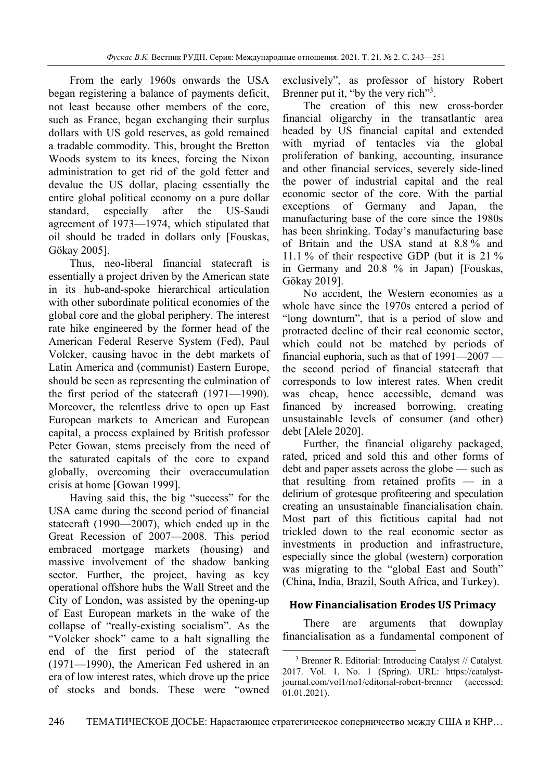From the early 1960s onwards the USA began registering a balance of payments deficit, not least because other members of the core, such as France, began exchanging their surplus dollars with US gold reserves, as gold remained a tradable commodity. This, brought the Bretton Woods system to its knees, forcing the Nixon administration to get rid of the gold fetter and devalue the US dollar, placing essentially the entire global political economy on a pure dollar standard, especially after the US-Saudi agreement of 1973—1974, which stipulated that oil should be traded in dollars only [Fouskas, Gökay 2005].

Thus, neo-liberal financial statecraft is essentially a project driven by the American state in its hub-and-spoke hierarchical articulation with other subordinate political economies of the global core and the global periphery. The interest rate hike engineered by the former head of the American Federal Reserve System (Fed), Paul Volcker, causing havoc in the debt markets of Latin America and (communist) Eastern Europe, should be seen as representing the culmination of the first period of the statecraft (1971—1990). Moreover, the relentless drive to open up East European markets to American and European capital, a process explained by British professor Peter Gowan, stems precisely from the need of the saturated capitals of the core to expand globally, overcoming their overaccumulation crisis at home [Gowan 1999].

Having said this, the big "success" for the USA came during the second period of financial statecraft (1990—2007), which ended up in the Great Recession of 2007—2008. This period embraced mortgage markets (housing) and massive involvement of the shadow banking sector. Further, the project, having as key operational offshore hubs the Wall Street and the City of London, was assisted by the opening-up of East European markets in the wake of the collapse of "really-existing socialism". As the "Volcker shock" came to a halt signalling the end of the first period of the statecraft (1971—1990), the American Fed ushered in an era of low interest rates, which drove up the price of stocks and bonds. These were "owned exclusively", as professor of history Robert Brenner put it, "by the very rich"<sup>3</sup>.

The creation of this new cross-border financial oligarchy in the transatlantic area headed by US financial capital and extended with myriad of tentacles via the global proliferation of banking, accounting, insurance and other financial services, severely side-lined the power of industrial capital and the real economic sector of the core. With the partial exceptions of Germany and Japan, the manufacturing base of the core since the 1980s has been shrinking. Today's manufacturing base of Britain and the USA stand at 8.8 % and 11.1 % of their respective GDP (but it is 21 % in Germany and 20.8 % in Japan) [Fouskas, Gökay 2019].

No accident, the Western economies as a whole have since the 1970s entered a period of "long downturn", that is a period of slow and protracted decline of their real economic sector, which could not be matched by periods of financial euphoria, such as that of 1991—2007 the second period of financial statecraft that corresponds to low interest rates. When credit was cheap, hence accessible, demand was financed by increased borrowing, creating unsustainable levels of consumer (and other) debt [Alele 2020].

Further, the financial oligarchy packaged, rated, priced and sold this and other forms of debt and paper assets across the globe — such as that resulting from retained profits — in a delirium of grotesque profiteering and speculation creating an unsustainable financialisation chain. Most part of this fictitious capital had not trickled down to the real economic sector as investments in production and infrastructure, especially since the global (western) corporation was migrating to the "global East and South" (China, India, Brazil, South Africa, and Turkey).

#### **How Financialisation Erodes US Primacy**

There are arguments that downplay financialisation as a fundamental component of

<sup>3</sup> Brenner R. Editorial: Introducing Catalyst // Catalyst*.* 2017. Vol. 1. No. 1 (Spring). URL: https://catalystjournal.com/vol1/no1/editorial-robert-brenner (accessed: 01.01.2021).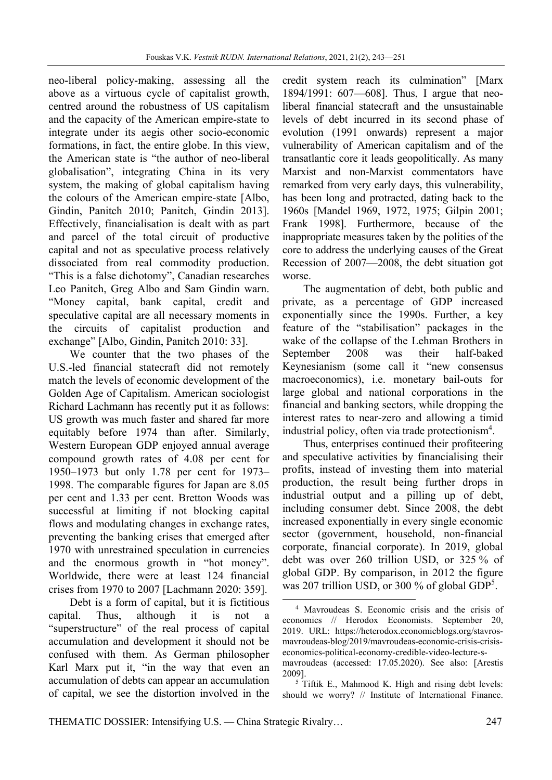neo-liberal policy-making, assessing all the above as a virtuous cycle of capitalist growth, centred around the robustness of US capitalism and the capacity of the American empire-state to integrate under its aegis other socio-economic formations, in fact, the entire globe. In this view, the American state is "the author of neo-liberal globalisation", integrating China in its very system, the making of global capitalism having the colours of the American empire-state [Albo, Gindin, Panitch 2010; Panitch, Gindin 2013]. Effectively, financialisation is dealt with as part and parcel of the total circuit of productive capital and not as speculative process relatively dissociated from real commodity production. "This is a false dichotomy", Canadian researches Leo Panitch, Greg Albo and Sam Gindin warn. "Money capital, bank capital, credit and speculative capital are all necessary moments in the circuits of capitalist production and exchange" [Albo, Gindin, Panitch 2010: 33].

We counter that the two phases of the U.S.-led financial statecraft did not remotely match the levels of economic development of the Golden Age of Capitalism. American sociologist Richard Lachmann has recently put it as follows: US growth was much faster and shared far more equitably before 1974 than after. Similarly, Western European GDP enjoyed annual average compound growth rates of 4.08 per cent for 1950–1973 but only 1.78 per cent for 1973– 1998. The comparable figures for Japan are 8.05 per cent and 1.33 per cent. Bretton Woods was successful at limiting if not blocking capital flows and modulating changes in exchange rates, preventing the banking crises that emerged after 1970 with unrestrained speculation in currencies and the enormous growth in "hot money". Worldwide, there were at least 124 financial crises from 1970 to 2007 [Lachmann 2020: 359].

Debt is a form of capital, but it is fictitious capital. Thus, although it is not "superstructure" of the real process of capital accumulation and development it should not be confused with them. As German philosopher Karl Marx put it, "in the way that even an accumulation of debts can appear an accumulation of capital, we see the distortion involved in the

credit system reach its culmination" [Marx 1894/1991: 607—608]. Thus, I argue that neoliberal financial statecraft and the unsustainable levels of debt incurred in its second phase of evolution (1991 onwards) represent a major vulnerability of American capitalism and of the transatlantic core it leads geopolitically. As many Marxist and non-Marxist commentators have remarked from very early days, this vulnerability, has been long and protracted, dating back to the 1960s [Mandel 1969, 1972, 1975; Gilpin 2001; Frank 1998]. Furthermore, because of the inappropriate measures taken by the polities of the core to address the underlying causes of the Great Recession of 2007—2008, the debt situation got worse.

The augmentation of debt, both public and private, as a percentage of GDP increased exponentially since the 1990s. Further, a key feature of the "stabilisation" packages in the wake of the collapse of the Lehman Brothers in September 2008 was their half-baked Keynesianism (some call it "new consensus macroeconomics), i.e. monetary bail-outs for large global and national corporations in the financial and banking sectors, while dropping the interest rates to near-zero and allowing a timid industrial policy, often via trade protectionism<sup>4</sup>.

Thus, enterprises continued their profiteering and speculative activities by financialising their profits, instead of investing them into material production, the result being further drops in industrial output and a pilling up of debt, including consumer debt. Since 2008, the debt increased exponentially in every single economic sector (government, household, non-financial corporate, financial corporate). In 2019, global debt was over 260 trillion USD, or 325 % of global GDP. By comparison, in 2012 the figure was 207 trillion USD, or 300 % of global  $GDP<sup>5</sup>$ .

 $5$  Tiftik E., Mahmood K. High and rising debt levels: should we worry? // Institute of International Finance.

 4 Mavroudeas S. Economic crisis and the crisis of economics // Herodox Economists. September 20, 2019. URL: https://heterodox.economicblogs.org/stavrosmavroudeas-blog/2019/mavroudeas-economic-crisis-crisiseconomics-political-economy-credible-video-lecture-smavroudeas (accessed: 17.05.2020). See also: [Arestis 2009]. 5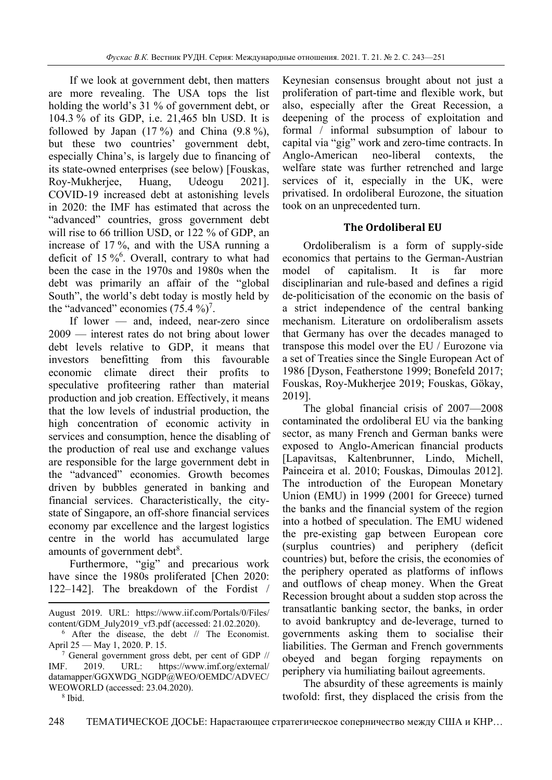If we look at government debt, then matters are more revealing. The USA tops the list holding the world's 31 % of government debt, or 104.3 % of its GDP, i.e. 21,465 bln USD. It is followed by Japan  $(17 \%)$  and China  $(9.8 \%)$ , but these two countries' government debt, especially China's, is largely due to financing of its state-owned enterprises (see below) [Fouskas, Roy-Mukherjee, Huang, Udeogu 2021]. COVID-19 increased debt at astonishing levels in 2020: the IMF has estimated that across the "advanced" countries, gross government debt will rise to 66 trillion USD, or 122 % of GDP, an increase of 17 %, and with the USA running a deficit of 15 %<sup>6</sup>. Overall, contrary to what had been the case in the 1970s and 1980s when the debt was primarily an affair of the "global South", the world's debt today is mostly held by the "advanced" economies  $(75.4\%)^7$ .

If lower — and, indeed, near-zero since 2009 — interest rates do not bring about lower debt levels relative to GDP, it means that investors benefitting from this favourable economic climate direct their profits to speculative profiteering rather than material production and job creation. Effectively, it means that the low levels of industrial production, the high concentration of economic activity in services and consumption, hence the disabling of the production of real use and exchange values are responsible for the large government debt in the "advanced" economies. Growth becomes driven by bubbles generated in banking and financial services. Characteristically, the citystate of Singapore, an off-shore financial services economy par excellence and the largest logistics centre in the world has accumulated large amounts of government debt<sup>8</sup>.

Furthermore, "gig" and precarious work have since the 1980s proliferated [Chen 2020: 122–142]. The breakdown of the Fordist /

 $\frac{7}{7}$  General government gross debt, per cent of GDP // IMF. 2019. URL: https://www.imf.org/external/ datamapper/GGXWDG\_NGDP@WEO/OEMDC/ADVEC/ WEOWORLD (accessed: 23.04.2020).

Keynesian consensus brought about not just a proliferation of part-time and flexible work, but also, especially after the Great Recession, a deepening of the process of exploitation and formal / informal subsumption of labour to capital via "gig" work and zero-time contracts. In Anglo-American neo-liberal contexts, the welfare state was further retrenched and large services of it, especially in the UK, were privatised. In ordoliberal Eurozone, the situation took on an unprecedented turn.

# **The Ordoliberal EU**

Ordoliberalism is a form of supply-side economics that pertains to the German-Austrian model of capitalism. It is far more disciplinarian and rule-based and defines a rigid de-politicisation of the economic on the basis of a strict independence of the central banking mechanism. Literature on ordoliberalism assets that Germany has over the decades managed to transpose this model over the EU / Eurozone via a set of Treaties since the Single European Act of 1986 [Dyson, Featherstone 1999; Bonefeld 2017; Fouskas, Roy-Mukherjee 2019; Fouskas, Gökay, 2019].

The global financial crisis of 2007—2008 contaminated the ordoliberal EU via the banking sector, as many French and German banks were exposed to Anglo-American financial products [Lapavitsas, Kaltenbrunner, Lindo, Michell, Painceira et al. 2010; Fouskas, Dimoulas 2012]. The introduction of the European Monetary Union (EMU) in 1999 (2001 for Greece) turned the banks and the financial system of the region into a hotbed of speculation. The EMU widened the pre-existing gap between European core (surplus countries) and periphery (deficit countries) but, before the crisis, the economies of the periphery operated as platforms of inflows and outflows of cheap money. When the Great Recession brought about a sudden stop across the transatlantic banking sector, the banks, in order to avoid bankruptcy and de-leverage, turned to governments asking them to socialise their liabilities. The German and French governments obeyed and began forging repayments on periphery via humiliating bailout agreements.

The absurdity of these agreements is mainly twofold: first, they displaced the crisis from the

 August 2019. URL: https://www.iif.com/Portals/0/Files/ content/GDM\_July2019\_vf3.pdf (accessed: 21.02.2020).

<sup>6</sup> After the disease, the debt // The Economist. April 25 — May 1, 2020. P. 15. 7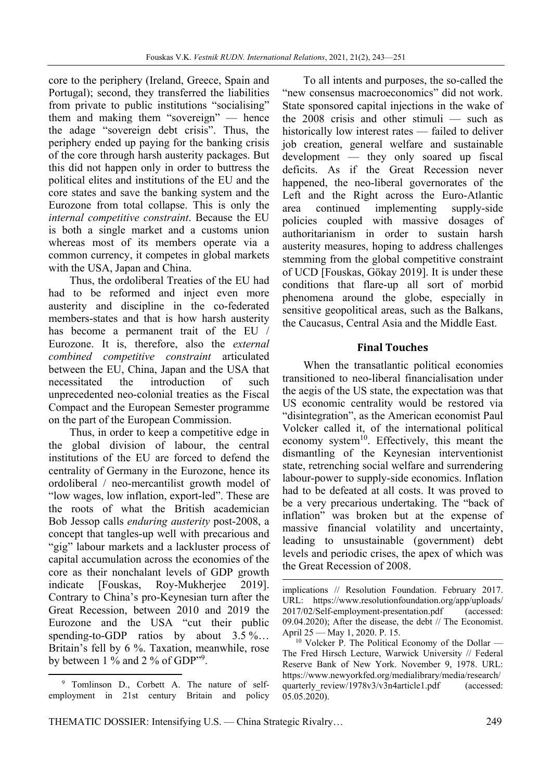core to the periphery (Ireland, Greece, Spain and Portugal); second, they transferred the liabilities from private to public institutions "socialising" them and making them "sovereign" — hence the adage "sovereign debt crisis". Thus, the periphery ended up paying for the banking crisis of the core through harsh austerity packages. But this did not happen only in order to buttress the political elites and institutions of the EU and the core states and save the banking system and the Eurozone from total collapse. This is only the *internal competitive constraint*. Because the EU is both a single market and a customs union whereas most of its members operate via a common currency, it competes in global markets with the USA, Japan and China.

Thus, the ordoliberal Treaties of the EU had had to be reformed and inject even more austerity and discipline in the co-federated members-states and that is how harsh austerity has become a permanent trait of the EU / Eurozone. It is, therefore, also the *external combined competitive constraint* articulated between the EU, China, Japan and the USA that necessitated the introduction of such unprecedented neo-colonial treaties as the Fiscal Compact and the European Semester programme on the part of the European Commission.

Thus, in order to keep a competitive edge in the global division of labour, the central institutions of the EU are forced to defend the centrality of Germany in the Eurozone, hence its ordoliberal / neo-mercantilist growth model of "low wages, low inflation, export-led". These are the roots of what the British academician Bob Jessop calls *enduring austerity* post-2008, a concept that tangles-up well with precarious and "gig" labour markets and a lackluster process of capital accumulation across the economies of the core as their nonchalant levels of GDP growth indicate [Fouskas, Roy-Mukherjee 2019]. Contrary to China's pro-Keynesian turn after the Great Recession, between 2010 and 2019 the Eurozone and the USA "cut their public spending-to-GDP ratios by about 3.5 %... Britain's fell by 6 %. Taxation, meanwhile, rose by between 1 % and 2 % of GDP"<sup>9</sup>.

To all intents and purposes, the so-called the "new consensus macroeconomics" did not work. State sponsored capital injections in the wake of the 2008 crisis and other stimuli — such as historically low interest rates — failed to deliver job creation, general welfare and sustainable development — they only soared up fiscal deficits. As if the Great Recession never happened, the neo-liberal governorates of the Left and the Right across the Euro-Atlantic area continued implementing supply-side policies coupled with massive dosages of authoritarianism in order to sustain harsh austerity measures, hoping to address challenges stemming from the global competitive constraint of UCD [Fouskas, Gökay 2019]. It is under these conditions that flare-up all sort of morbid phenomena around the globe, especially in sensitive geopolitical areas, such as the Balkans, the Caucasus, Central Asia and the Middle East.

### **Final Touches**

When the transatlantic political economies transitioned to neo-liberal financialisation under the aegis of the US state, the expectation was that US economic centrality would be restored via "disintegration", as the American economist Paul Volcker called it, of the international political economy system<sup>10</sup>. Effectively, this meant the dismantling of the Keynesian interventionist state, retrenching social welfare and surrendering labour-power to supply-side economics. Inflation had to be defeated at all costs. It was proved to be a very precarious undertaking. The "back of inflation" was broken but at the expense of massive financial volatility and uncertainty, leading to unsustainable (government) debt levels and periodic crises, the apex of which was the Great Recession of 2008.

<u> Andrew Maria (1995)</u>

 <sup>9</sup> Tomlinson D., Corbett A. The nature of selfemployment in 21st century Britain and policy

implications // Resolution Foundation. February 2017. URL: https://www.resolutionfoundation.org/app/uploads/ 2017/02/Self-employment-presentation.pdf (accessed: 09.04.2020); After the disease, the debt // The Economist. April 25 — May 1, 2020. P. 15.

 $10$  Volcker P. The Political Economy of the Dollar — The Fred Hirsch Lecture, Warwick University // Federal Reserve Bank of New York. November 9, 1978. URL: https://www.newyorkfed.org/medialibrary/media/research/ quarterly\_review/1978v3/v3n4article1.pdf (accessed: 05.05.2020).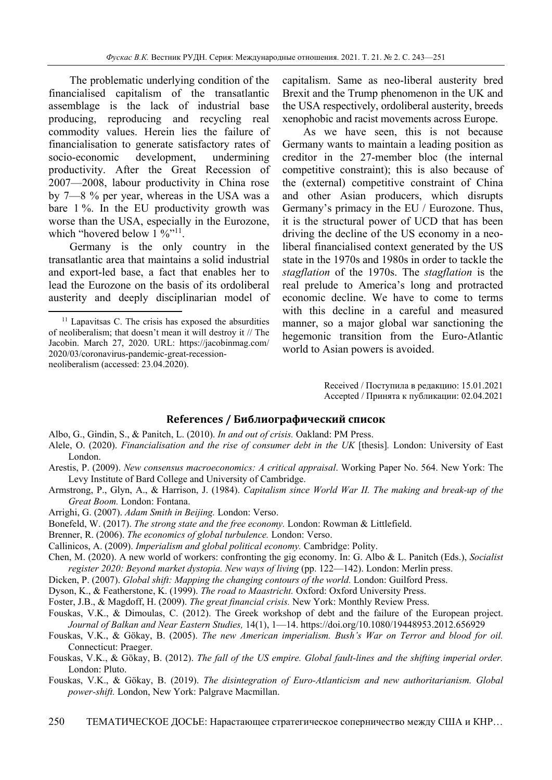The problematic underlying condition of the financialised capitalism of the transatlantic assemblage is the lack of industrial base producing, reproducing and recycling real commodity values. Herein lies the failure of financialisation to generate satisfactory rates of socio-economic development, undermining productivity. After the Great Recession of 2007—2008, labour productivity in China rose by 7—8 % per year, whereas in the USA was a bare 1 %. In the EU productivity growth was worse than the USA, especially in the Eurozone, which "hovered below  $1\%$ "<sup>11</sup>.

Germany is the only country in the transatlantic area that maintains a solid industrial and export-led base, a fact that enables her to lead the Eurozone on the basis of its ordoliberal austerity and deeply disciplinarian model of

capitalism. Same as neo-liberal austerity bred Brexit and the Trump phenomenon in the UK and the USA respectively, ordoliberal austerity, breeds xenophobic and racist movements across Europe.

As we have seen, this is not because Germany wants to maintain a leading position as creditor in the 27-member bloc (the internal competitive constraint); this is also because of the (external) competitive constraint of China and other Asian producers, which disrupts Germany's primacy in the EU / Eurozone. Thus, it is the structural power of UCD that has been driving the decline of the US economy in a neoliberal financialised context generated by the US state in the 1970s and 1980s in order to tackle the *stagflation* of the 1970s. The *stagflation* is the real prelude to America's long and protracted economic decline. We have to come to terms with this decline in a careful and measured manner, so a major global war sanctioning the hegemonic transition from the Euro-Atlantic world to Asian powers is avoided.

> Received / Поступила в редакцию: 15.01.2021 Accepted / Принята к публикации: 02.04.2021

#### **References / Библиографический список**

- Albo, G., Gindin, S., & Panitch, L. (2010). *In and out of crisis.* Oakland: PM Press.
- Alele, O. (2020). *Financialisation and the rise of consumer debt in the UK* [thesis]. London: University of East London.
- Arestis, P. (2009). *New consensus macroeconomics: A critical appraisal*. Working Paper No. 564. New York: The Levy Institute of Bard College and University of Cambridge.
- Armstrong, P., Glyn, A., & Harrison, J. (1984). *Capitalism since World War II. The making and break-up of the Great Boom.* London: Fontana.
- Arrighi, G. (2007). *Adam Smith in Beijing.* London: Verso.
- Bonefeld, W. (2017). *The strong state and the free economy.* London: Rowman & Littlefield.
- Brenner, R. (2006). *The economics of global turbulence.* London: Verso.
- Callinicos, A. (2009). *Imperialism and global political economy.* Cambridge: Polity.
- Chen, M. (2020). A new world of workers: confronting the gig economy. In: G. Albo & L. Panitch (Eds.), *Socialist register 2020: Beyond market dystopia. New ways of living* (pp. 122—142). London: Merlin press.
- Dicken, P. (2007). *Global shift: Mapping the changing contours of the world.* London: Guilford Press.
- Dyson, K., & Featherstone, K. (1999). *The road to Maastricht.* Oxford: Oxford University Press.
- Foster, J.B., & Magdoff, H. (2009). *The great financial crisis.* New York: Monthly Review Press.
- Fouskas, V.K., & Dimoulas, C. (2012). The Greek workshop of debt and the failure of the European project. *Journal of Balkan and Near Eastern Studies,* 14(1), 1—14. https://doi.org/10.1080/19448953.2012.656929
- Fouskas, V.K., & Gökay, B. (2005). *The new American imperialism. Bush's War on Terror and blood for oil.*  Connecticut: Praeger.
- Fouskas, V.K., & Gökay, B. (2012). *The fall of the US empire. Global fault-lines and the shifting imperial order.*  London: Pluto.
- Fouskas, V.K., & Gökay, B. (2019). *The disintegration of Euro-Atlanticism and new authoritarianism. Global power-shift.* London, New York: Palgrave Macmillan.

 $11$  Lapavitsas C. The crisis has exposed the absurdities of neoliberalism; that doesn't mean it will destroy it // The Jacobin. March 27, 2020. URL: https://jacobinmag.com/ 2020/03/coronavirus-pandemic-great-recessionneoliberalism (accessed: 23.04.2020).